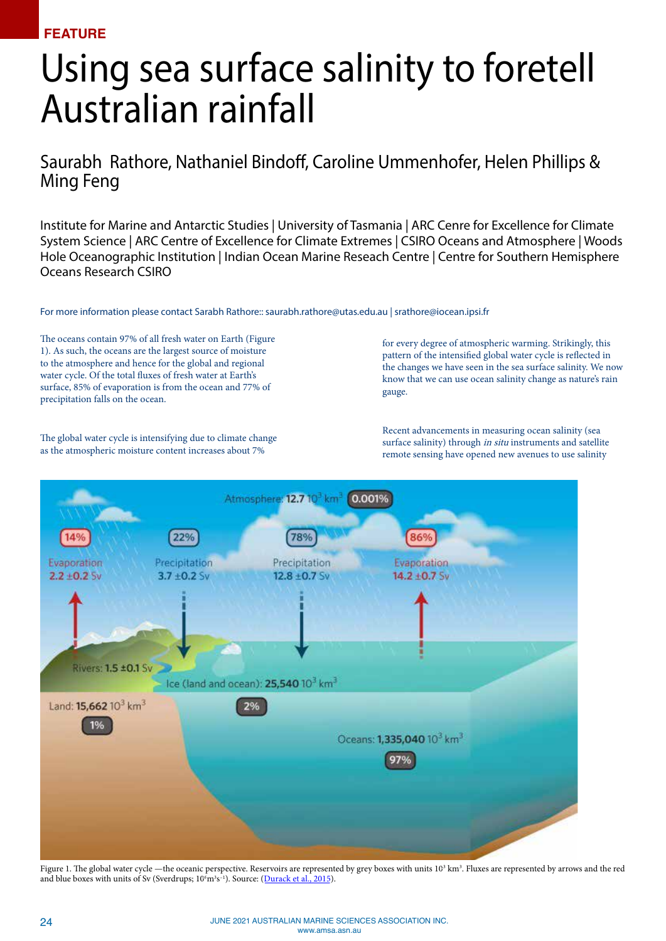**FEATURE**

## Using sea surface salinity to foretell Australian rainfall

Saurabh Rathore, Nathaniel Bindoff, Caroline Ummenhofer, Helen Phillips & Ming Feng

Institute for Marine and Antarctic Studies | University of Tasmania | ARC Cenre for Excellence for Climate System Science | ARC Centre of Excellence for Climate Extremes | CSIRO Oceans and Atmosphere | Woods Hole Oceanographic Institution | Indian Ocean Marine Reseach Centre | Centre for Southern Hemisphere Oceans Research CSIRO

For more information please contact Sarabh Rathore:: saurabh.rathore@utas.edu.au | srathore@iocean.ipsi.fr

The oceans contain 97% of all fresh water on Earth (Figure 1). As such, the oceans are the largest source of moisture to the atmosphere and hence for the global and regional water cycle. Of the total fluxes of fresh water at Earth's surface, 85% of evaporation is from the ocean and 77% of precipitation falls on the ocean.

The global water cycle is intensifying due to climate change as the atmospheric moisture content increases about 7%

for every degree of atmospheric warming. Strikingly, this pattern of the intensified global water cycle is reflected in the changes we have seen in the sea surface salinity. We now know that we can use ocean salinity change as nature's rain gauge.

Recent advancements in measuring ocean salinity (sea surface salinity) through *in situ* instruments and satellite remote sensing have opened new avenues to use salinity



Figure 1. The global water cycle —the oceanic perspective. Reservoirs are represented by grey boxes with units  $10<sup>3</sup> km<sup>3</sup>$ . Fluxes are represented by arrows and the red and blue boxes with units of Sv (Sverdrups; 10<sup>6</sup>m<sup>3</sup>s<sup>-1</sup>). Source: ([Durack et al., 2015\)](https://tos.org/oceanography/article/ocean-salinity-and-the-global-water-cycle).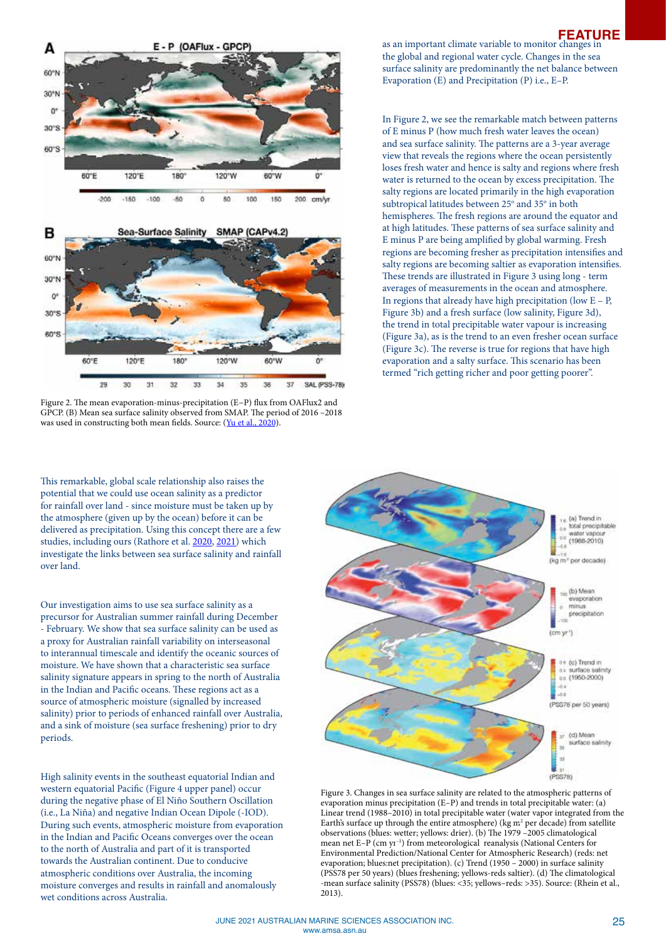



Figure 2. The mean evaporation‐minus‐precipitation (E−P) flux from OAFlux2 and GPCP. (B) Mean sea surface salinity observed from SMAP. The period of 2016 –2018 was used in constructing both mean fields. Source: [\(Yu et al., 2020\)](https://nyaspubs.onlinelibrary.wiley.com/doi/abs/10.1111/nyas.14354).

This remarkable, global scale relationship also raises the potential that we could use ocean salinity as a predictor for rainfall over land - since moisture must be taken up by the atmosphere (given up by the ocean) before it can be delivered as precipitation. Using this concept there are a few studies, including ours (Rathore et al. [2020](https://www.nature.com/articles/s41467-020-15754-3), [2021\)](https://journals.ametsoc.org/configurable/content/journals$002fclim$002faop$002fJCLI-D-20-0625.1$002fJCLI-D-20-0625.1.xml?t:ac=journals%24002fclim%24002faop%24002fJCLI-D-20-0625.1%24002fJCLI-D-20-0625.1.xml) which investigate the links between sea surface salinity and rainfall over land.

Our investigation aims to use sea surface salinity as a precursor for Australian summer rainfall during December - February. We show that sea surface salinity can be used as a proxy for Australian rainfall variability on interseasonal to interannual timescale and identify the oceanic sources of moisture. We have shown that a characteristic sea surface salinity signature appears in spring to the north of Australia in the Indian and Pacific oceans. These regions act as a source of atmospheric moisture (signalled by increased salinity) prior to periods of enhanced rainfall over Australia, and a sink of moisture (sea surface freshening) prior to dry periods.

High salinity events in the southeast equatorial Indian and western equatorial Pacific (Figure 4 upper panel) occur during the negative phase of El Niño Southern Oscillation (i.e., La Niña) and negative Indian Ocean Dipole (-IOD). During such events, atmospheric moisture from evaporation in the Indian and Pacific Oceans converges over the ocean to the north of Australia and part of it is transported towards the Australian continent. Due to conducive atmospheric conditions over Australia, the incoming moisture converges and results in rainfall and anomalously wet conditions across Australia.

## as an important climate variable to monitor changes in the global and regional water cycle. Changes in the sea surface salinity are predominantly the net balance between Evaporation (E) and Precipitation (P) i.e., E–P. **FEATURE**

In Figure 2, we see the remarkable match between patterns of E minus P (how much fresh water leaves the ocean) and sea surface salinity. The patterns are a 3-year average view that reveals the regions where the ocean persistently loses fresh water and hence is salty and regions where fresh water is returned to the ocean by excess precipitation. The salty regions are located primarily in the high evaporation subtropical latitudes between  $25^{\circ}$  and  $35^{\circ}$  in both hemispheres. The fresh regions are around the equator and at high latitudes. These patterns of sea surface salinity and E minus P are being amplified by global warming. Fresh regions are becoming fresher as precipitation intensifies and salty regions are becoming saltier as evaporation intensifies. These trends are illustrated in Figure 3 using long - term averages of measurements in the ocean and atmosphere. In regions that already have high precipitation (low  $E - P$ , Figure 3b) and a fresh surface (low salinity, Figure 3d), the trend in total precipitable water vapour is increasing (Figure 3a), as is the trend to an even fresher ocean surface (Figure 3c). The reverse is true for regions that have high evaporation and a salty surface. This scenario has been termed "rich getting richer and poor getting poorer".



Figure 3. Changes in sea surface salinity are related to the atmospheric patterns of evaporation minus precipitation (E–P) and trends in total precipitable water: (a) Linear trend (1988–2010) in total precipitable water (water vapor integrated from the Earth's surface up through the entire atmosphere) ( $\text{kg m}^2$  per decade) from satellite observations (blues: wetter; yellows: drier). (b) The 1979 –2005 climatological mean net E–P (cm yr<sup>-1</sup>) from meteorological reanalysis (National Centers for Environmental Prediction/National Center for Atmospheric Research) (reds: net evaporation; blues:net precipitation). (c) Trend (1950 – 2000) in surface salinity (PSS78 per 50 years) (blues freshening; yellows-reds saltier). (d) The climatological -mean surface salinity (PSS78) (blues: <35; yellows–reds: >35). Source: (Rhein et al., 2013).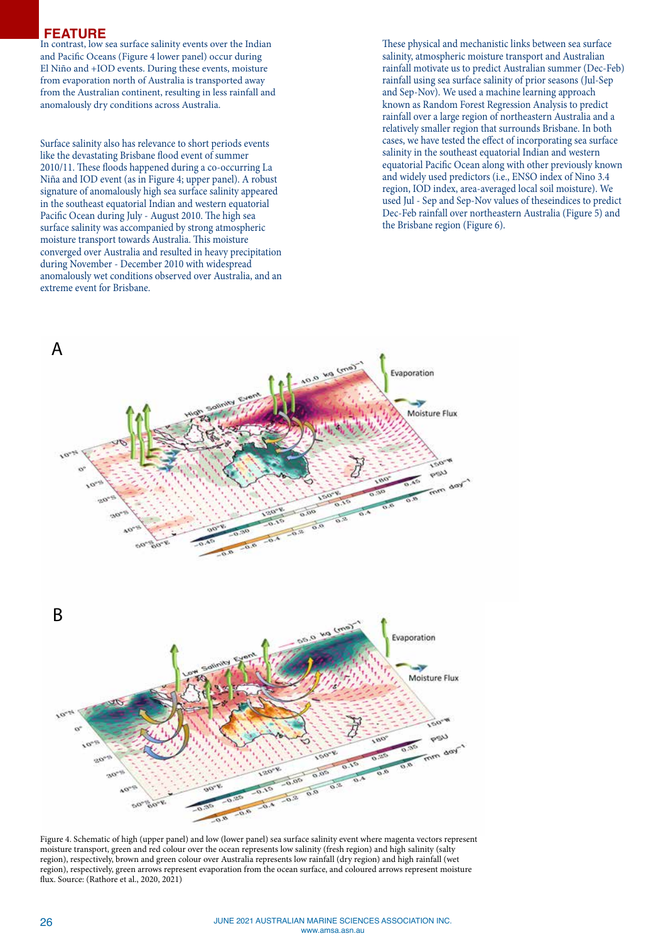## **FEATURE**

In contrast, low sea surface salinity events over the Indian and Pacific Oceans (Figure 4 lower panel) occur during El Niño and +IOD events. During these events, moisture from evaporation north of Australia is transported away from the Australian continent, resulting in less rainfall and anomalously dry conditions across Australia.

Surface salinity also has relevance to short periods events like the devastating Brisbane flood event of summer 2010/11. These floods happened during a co-occurring La Niña and IOD event (as in Figure 4; upper panel). A robust signature of anomalously high sea surface salinity appeared in the southeast equatorial Indian and western equatorial Pacific Ocean during July - August 2010. The high sea surface salinity was accompanied by strong atmospheric moisture transport towards Australia. This moisture converged over Australia and resulted in heavy precipitation during November - December 2010 with widespread anomalously wet conditions observed over Australia, and an extreme event for Brisbane.

These physical and mechanistic links between sea surface salinity, atmospheric moisture transport and Australian rainfall motivate us to predict Australian summer (Dec-Feb) rainfall using sea surface salinity of prior seasons (Jul-Sep and Sep-Nov). We used a machine learning approach known as Random Forest Regression Analysis to predict rainfall over a large region of northeastern Australia and a relatively smaller region that surrounds Brisbane. In both cases, we have tested the effect of incorporating sea surface salinity in the southeast equatorial Indian and western equatorial Pacific Ocean along with other previously known and widely used predictors (i.e., ENSO index of Nino 3.4 region, IOD index, area-averaged local soil moisture). We used Jul - Sep and Sep-Nov values of theseindices to predict Dec-Feb rainfall over northeastern Australia (Figure 5) and the Brisbane region (Figure 6).



Figure 4. Schematic of high (upper panel) and low (lower panel) sea surface salinity event where magenta vectors represent moisture transport, green and red colour over the ocean represents low salinity (fresh region) and high salinity (salty region), respectively, brown and green colour over Australia represents low rainfall (dry region) and high rainfall (wet region), respectively, green arrows represent evaporation from the ocean surface, and coloured arrows represent moisture flux. Source: (Rathore et al., 2020, 2021)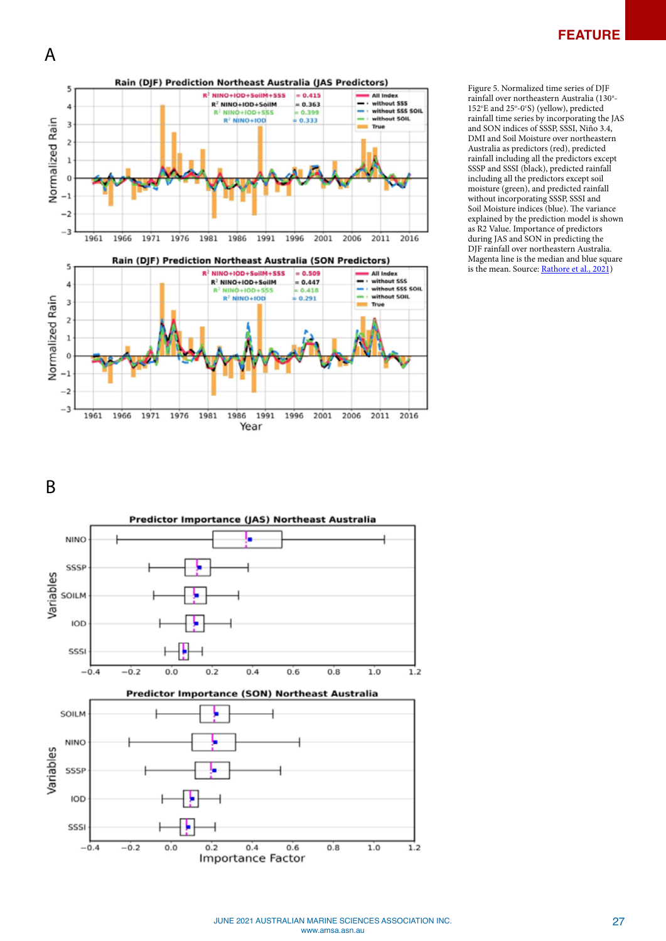A



Figure 5. Normalized time series of DJF rainfall over northeastern Australia (130°-152°E and 25°-0°S) (yellow), predicted rainfall time series by incorporating the JAS and SON indices of SSSP, SSSI, Niño 3.4, DMI and Soil Moisture over northeastern Australia as predictors (red), predicted rainfall including all the predictors except SSSP and SSSI (black), predicted rainfall including all the predictors except soil moisture (green), and predicted rainfall without incorporating SSSP, SSSI and Soil Moisture indices (blue). The variance explained by the prediction model is shown as R2 Value. Importance of predictors during JAS and SON in predicting the DJF rainfall over northeastern Australia. Magenta line is the median and blue square is the mean. Source: [Rathore et al., 2021](https://journals.ametsoc.org/configurable/content/journals$002fclim$002faop$002fJCLI-D-20-0625.1$002fJCLI-D-20-0625.1.xml?t:ac=journals%24002fclim%24002faop%24002fJCLI-D-20-0625.1%24002fJCLI-D-20-0625.1.xml))

B